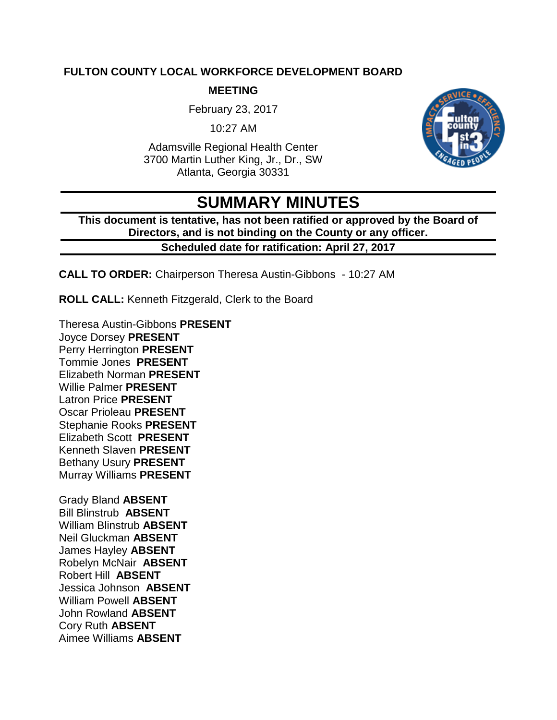#### **FULTON COUNTY LOCAL WORKFORCE DEVELOPMENT BOARD**

#### **MEETING**

February 23, 2017

10:27 AM

Adamsville Regional Health Center 3700 Martin Luther King, Jr., Dr., SW Atlanta, Georgia 30331



# **SUMMARY MINUTES**

**This document is tentative, has not been ratified or approved by the Board of Directors, and is not binding on the County or any officer. Scheduled date for ratification: April 27, 2017** 

**CALL TO ORDER:** Chairperson Theresa Austin-Gibbons - 10:27 AM

**ROLL CALL:** Kenneth Fitzgerald, Clerk to the Board

Theresa Austin-Gibbons **PRESENT** Joyce Dorsey **PRESENT** Perry Herrington **PRESENT** Tommie Jones **PRESENT** Elizabeth Norman **PRESENT** Willie Palmer **PRESENT** Latron Price **PRESENT** Oscar Prioleau **PRESENT** Stephanie Rooks **PRESENT** Elizabeth Scott **PRESENT** Kenneth Slaven **PRESENT** Bethany Usury **PRESENT** Murray Williams **PRESENT**

Grady Bland **ABSENT** Bill Blinstrub **ABSENT** William Blinstrub **ABSENT** Neil Gluckman **ABSENT** James Hayley **ABSENT** Robelyn McNair **ABSENT** Robert Hill **ABSENT** Jessica Johnson **ABSENT** William Powell **ABSENT** John Rowland **ABSENT** Cory Ruth **ABSENT** Aimee Williams **ABSENT**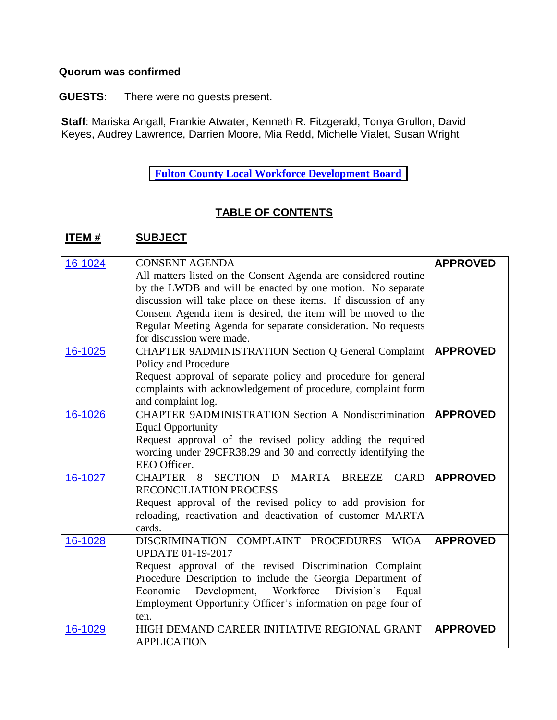#### **Quorum was confirmed**

**GUESTS**: There were no guests present.

**Staff**: Mariska Angall, Frankie Atwater, Kenneth R. Fitzgerald, Tonya Grullon, David Keyes, Audrey Lawrence, Darrien Moore, Mia Redd, Michelle Vialet, Susan Wright

**[Fulton](http://agendaminutes.fultoncountyga.gov/sirepub/agdocs.aspx?doctype=minutes&itemid=30105) County Local Workforce Development Board**

### **TABLE OF CONTENTS**

#### **ITEM # SUBJECT**

| 16-1024 | <b>CONSENT AGENDA</b>                                           | <b>APPROVED</b> |
|---------|-----------------------------------------------------------------|-----------------|
|         | All matters listed on the Consent Agenda are considered routine |                 |
|         | by the LWDB and will be enacted by one motion. No separate      |                 |
|         | discussion will take place on these items. If discussion of any |                 |
|         | Consent Agenda item is desired, the item will be moved to the   |                 |
|         | Regular Meeting Agenda for separate consideration. No requests  |                 |
|         | for discussion were made.                                       |                 |
| 16-1025 | CHAPTER 9ADMINISTRATION Section Q General Complaint             | <b>APPROVED</b> |
|         | Policy and Procedure                                            |                 |
|         | Request approval of separate policy and procedure for general   |                 |
|         | complaints with acknowledgement of procedure, complaint form    |                 |
|         | and complaint log.                                              |                 |
| 16-1026 | <b>CHAPTER 9ADMINISTRATION Section A Nondiscrimination</b>      | <b>APPROVED</b> |
|         | <b>Equal Opportunity</b>                                        |                 |
|         | Request approval of the revised policy adding the required      |                 |
|         | wording under 29CFR38.29 and 30 and correctly identifying the   |                 |
|         | EEO Officer.                                                    |                 |
| 16-1027 | MARTA BREEZE<br>SECTION D<br><b>CHAPTER</b><br>8<br><b>CARD</b> | <b>APPROVED</b> |
|         | <b>RECONCILIATION PROCESS</b>                                   |                 |
|         | Request approval of the revised policy to add provision for     |                 |
|         | reloading, reactivation and deactivation of customer MARTA      |                 |
|         | cards.                                                          |                 |
| 16-1028 | DISCRIMINATION COMPLAINT PROCEDURES WIOA                        | <b>APPROVED</b> |
|         | <b>UPDATE 01-19-2017</b>                                        |                 |
|         | Request approval of the revised Discrimination Complaint        |                 |
|         | Procedure Description to include the Georgia Department of      |                 |
|         | Development,<br>Workforce<br>Division's<br>Economic<br>Equal    |                 |
|         | Employment Opportunity Officer's information on page four of    |                 |
|         | ten.                                                            |                 |
| 16-1029 | HIGH DEMAND CAREER INITIATIVE REGIONAL GRANT                    | <b>APPROVED</b> |
|         | <b>APPLICATION</b>                                              |                 |